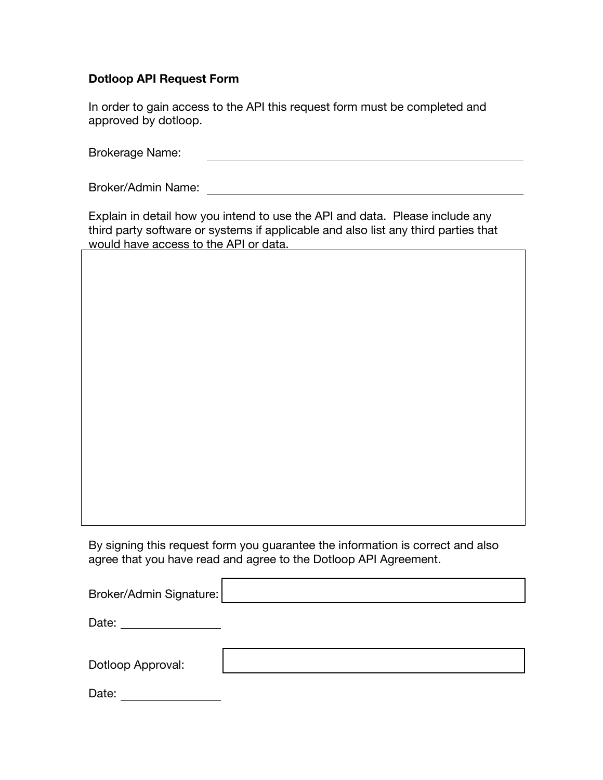# **Dotloop API Request Form**

In order to gain access to the API this request form must be completed and approved by dotloop.

Brokerage Name: 

Broker/Admin Name:

Explain in detail how you intend to use the API and data. Please include any third party software or systems if applicable and also list any third parties that would have access to the API or data.

By signing this request form you guarantee the information is correct and also agree that you have read and agree to the Dotloop API Agreement.

| Broker/Admin Signature: |  |
|-------------------------|--|
| Date:                   |  |
| Dotloop Approval:       |  |

| Date: |  |
|-------|--|
|       |  |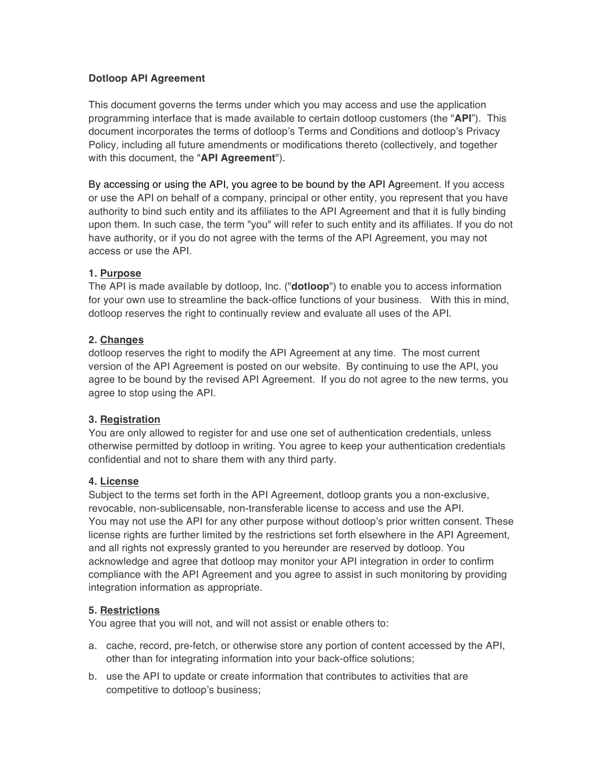# **Dotloop API Agreement**

This document governs the terms under which you may access and use the application programming interface that is made available to certain dotloop customers (the "**API**"). This document incorporates the terms of dotloop's Terms and Conditions and dotloop's Privacy Policy, including all future amendments or modifications thereto (collectively, and together with this document, the "**API Agreement**").

By accessing or using the API, you agree to be bound by the API Agreement. If you access or use the API on behalf of a company, principal or other entity, you represent that you have authority to bind such entity and its affiliates to the API Agreement and that it is fully binding upon them. In such case, the term "you" will refer to such entity and its affiliates. If you do not have authority, or if you do not agree with the terms of the API Agreement, you may not access or use the API.

## **1. Purpose**

The API is made available by dotloop, Inc. ("**dotloop**") to enable you to access information for your own use to streamline the back-office functions of your business. With this in mind, dotloop reserves the right to continually review and evaluate all uses of the API.

## **2. Changes**

dotloop reserves the right to modify the API Agreement at any time. The most current version of the API Agreement is posted on our website. By continuing to use the API, you agree to be bound by the revised API Agreement. If you do not agree to the new terms, you agree to stop using the API.

# **3. Registration**

You are only allowed to register for and use one set of authentication credentials, unless otherwise permitted by dotloop in writing. You agree to keep your authentication credentials confidential and not to share them with any third party.

#### **4. License**

Subject to the terms set forth in the API Agreement, dotloop grants you a non-exclusive, revocable, non-sublicensable, non-transferable license to access and use the API. You may not use the API for any other purpose without dotloop's prior written consent. These license rights are further limited by the restrictions set forth elsewhere in the API Agreement, and all rights not expressly granted to you hereunder are reserved by dotloop. You acknowledge and agree that dotloop may monitor your API integration in order to confirm compliance with the API Agreement and you agree to assist in such monitoring by providing integration information as appropriate.

#### **5. Restrictions**

You agree that you will not, and will not assist or enable others to:

- a. cache, record, pre-fetch, or otherwise store any portion of content accessed by the API, other than for integrating information into your back-office solutions;
- b. use the API to update or create information that contributes to activities that are competitive to dotloop's business;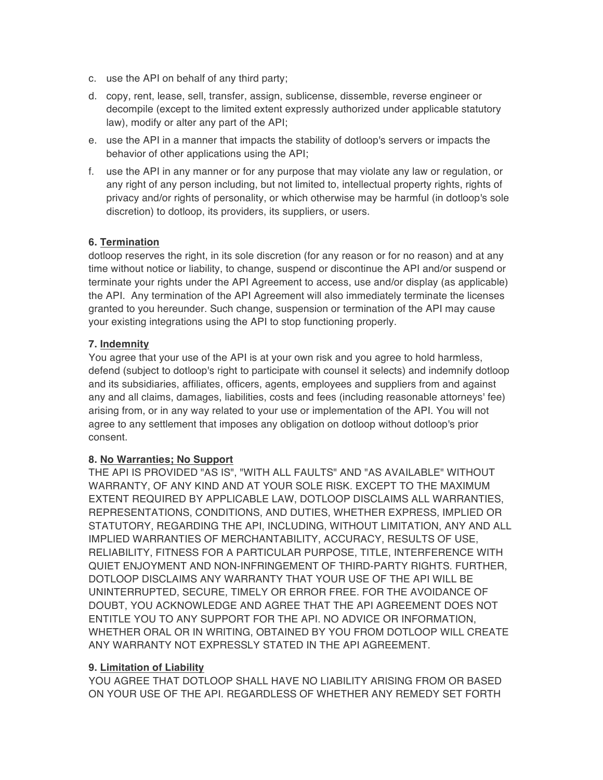- c. use the API on behalf of any third party;
- d. copy, rent, lease, sell, transfer, assign, sublicense, dissemble, reverse engineer or decompile (except to the limited extent expressly authorized under applicable statutory law), modify or alter any part of the API;
- e. use the API in a manner that impacts the stability of dotloop's servers or impacts the behavior of other applications using the API;
- f. use the API in any manner or for any purpose that may violate any law or regulation, or any right of any person including, but not limited to, intellectual property rights, rights of privacy and/or rights of personality, or which otherwise may be harmful (in dotloop's sole discretion) to dotloop, its providers, its suppliers, or users.

#### **6. Termination**

dotloop reserves the right, in its sole discretion (for any reason or for no reason) and at any time without notice or liability, to change, suspend or discontinue the API and/or suspend or terminate your rights under the API Agreement to access, use and/or display (as applicable) the API. Any termination of the API Agreement will also immediately terminate the licenses granted to you hereunder. Such change, suspension or termination of the API may cause your existing integrations using the API to stop functioning properly.

## **7. Indemnity**

You agree that your use of the API is at your own risk and you agree to hold harmless, defend (subject to dotloop's right to participate with counsel it selects) and indemnify dotloop and its subsidiaries, affiliates, officers, agents, employees and suppliers from and against any and all claims, damages, liabilities, costs and fees (including reasonable attorneys' fee) arising from, or in any way related to your use or implementation of the API. You will not agree to any settlement that imposes any obligation on dotloop without dotloop's prior consent.

#### **8. No Warranties; No Support**

THE API IS PROVIDED "AS IS", "WITH ALL FAULTS" AND "AS AVAILABLE" WITHOUT WARRANTY, OF ANY KIND AND AT YOUR SOLE RISK. EXCEPT TO THE MAXIMUM EXTENT REQUIRED BY APPLICABLE LAW, DOTLOOP DISCLAIMS ALL WARRANTIES, REPRESENTATIONS, CONDITIONS, AND DUTIES, WHETHER EXPRESS, IMPLIED OR STATUTORY, REGARDING THE API, INCLUDING, WITHOUT LIMITATION, ANY AND ALL IMPLIED WARRANTIES OF MERCHANTABILITY, ACCURACY, RESULTS OF USE, RELIABILITY, FITNESS FOR A PARTICULAR PURPOSE, TITLE, INTERFERENCE WITH QUIET ENJOYMENT AND NON-INFRINGEMENT OF THIRD-PARTY RIGHTS. FURTHER, DOTLOOP DISCLAIMS ANY WARRANTY THAT YOUR USE OF THE API WILL BE UNINTERRUPTED, SECURE, TIMELY OR ERROR FREE. FOR THE AVOIDANCE OF DOUBT, YOU ACKNOWLEDGE AND AGREE THAT THE API AGREEMENT DOES NOT ENTITLE YOU TO ANY SUPPORT FOR THE API. NO ADVICE OR INFORMATION, WHETHER ORAL OR IN WRITING, OBTAINED BY YOU FROM DOTLOOP WILL CREATE ANY WARRANTY NOT EXPRESSLY STATED IN THE API AGREEMENT.

#### **9. Limitation of Liability**

YOU AGREE THAT DOTLOOP SHALL HAVE NO LIABILITY ARISING FROM OR BASED ON YOUR USE OF THE API. REGARDLESS OF WHETHER ANY REMEDY SET FORTH